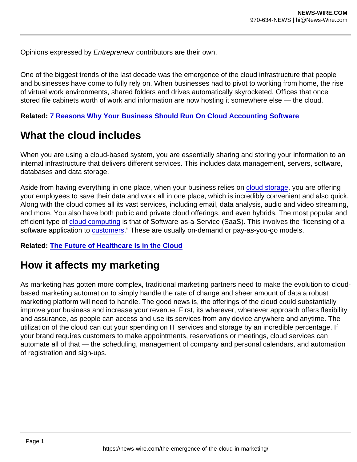Opinions expressed by Entrepreneur contributors are their own.

One of the biggest trends of the last decade was the emergence of the cloud infrastructure that people and businesses have come to fully rely on. When businesses had to pivot to working from home, the rise of virtual work environments, shared folders and drives automatically skyrocketed. Offices that once stored file cabinets worth of work and information are now hosting it somewhere else — the cloud.

Related: [7 Reasons Why Your Business Should Run On Cloud Accounting Software](https://www.entrepreneur.com/article/332787)

## What the cloud includes

When you are using a cloud-based system, you are essentially sharing and storing your information to an internal infrastructure that delivers different services. This includes data management, servers, software, databases and data storage.

Aside from having everything in one place, when your business relies on [cloud storage,](https://www.entrepreneur.com/topic/cloud-storage) you are offering your employees to save their data and work all in one place, which is incredibly convenient and also quick. Along with the cloud comes all its vast services, including email, data analysis, audio and video streaming, and more. You also have both public and private cloud offerings, and even hybrids. The most popular and efficient type of [cloud computing](https://www.entrepreneur.com/topic/cloud-computing) is that of Software-as-a-Service (SaaS). This involves the "licensing of a software application to [customers](https://www.investopedia.com/terms/c/cloud-computing.asp)." These are usually on-demand or pay-as-you-go models.

Related: [The Future of Healthcare Is in the Cloud](https://www.entrepreneur.com/article/363124)

## How it affects my marketing

As marketing has gotten more complex, traditional marketing partners need to make the evolution to cloudbased marketing automation to simply handle the rate of change and sheer amount of data a robust marketing platform will need to handle. The good news is, the offerings of the cloud could substantially improve your business and increase your revenue. First, its wherever, whenever approach offers flexibility and assurance, as people can access and use its services from any device anywhere and anytime. The utilization of the cloud can cut your spending on IT services and storage by an incredible percentage. If your brand requires customers to make appointments, reservations or meetings, cloud services can automate all of that — the scheduling, management of company and personal calendars, and automation of registration and sign-ups.